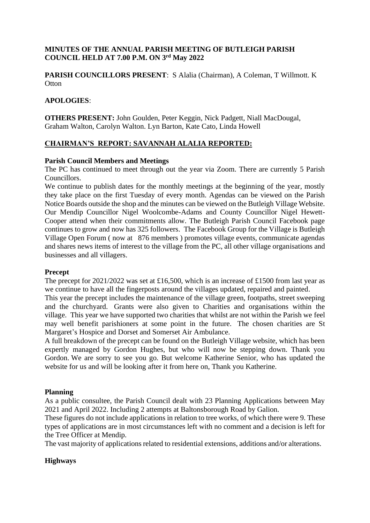## **MINUTES OF THE ANNUAL PARISH MEETING OF BUTLEIGH PARISH COUNCIL HELD AT 7.00 P.M. ON 3 rd May 2022**

**PARISH COUNCILLORS PRESENT**: S Alalia (Chairman), A Coleman, T Willmott. K **Otton** 

#### **APOLOGIES**:

**OTHERS PRESENT:** John Goulden, Peter Keggin, Nick Padgett, Niall MacDougal, Graham Walton, Carolyn Walton. Lyn Barton, Kate Cato, Linda Howell

# **CHAIRMAN'S REPORT: SAVANNAH ALALIA REPORTED:**

### **Parish Council Members and Meetings**

The PC has continued to meet through out the year via Zoom. There are currently 5 Parish Councillors.

We continue to publish dates for the monthly meetings at the beginning of the year, mostly they take place on the first Tuesday of every month. Agendas can be viewed on the Parish Notice Boards outside the shop and the minutes can be viewed on the Butleigh Village Website. Our Mendip Councillor Nigel Woolcombe-Adams and County Councillor Nigel Hewett-Cooper attend when their commitments allow. The Butleigh Parish Council Facebook page continues to grow and now has 325 followers. The Facebook Group for the Village is Butleigh Village Open Forum ( now at 876 members ) promotes village events, communicate agendas and shares news items of interest to the village from the PC, all other village organisations and businesses and all villagers.

#### **Precept**

The precept for 2021/2022 was set at £16,500, which is an increase of £1500 from last year as we continue to have all the fingerposts around the villages updated, repaired and painted.

This year the precept includes the maintenance of the village green, footpaths, street sweeping and the churchyard. Grants were also given to Charities and organisations within the village. This year we have supported two charities that whilst are not within the Parish we feel may well benefit parishioners at some point in the future. The chosen charities are St Margaret's Hospice and Dorset and Somerset Air Ambulance.

A full breakdown of the precept can be found on the Butleigh Village website, which has been expertly managed by Gordon Hughes, but who will now be stepping down. Thank you Gordon. We are sorry to see you go. But welcome Katherine Senior, who has updated the website for us and will be looking after it from here on, Thank you Katherine.

#### **Planning**

As a public consultee, the Parish Council dealt with 23 Planning Applications between May 2021 and April 2022. Including 2 attempts at Baltonsborough Road by Galion.

These figures do not include applications in relation to tree works, of which there were 9. These types of applications are in most circumstances left with no comment and a decision is left for the Tree Officer at Mendip.

The vast majority of applications related to residential extensions, additions and/or alterations.

## **Highways**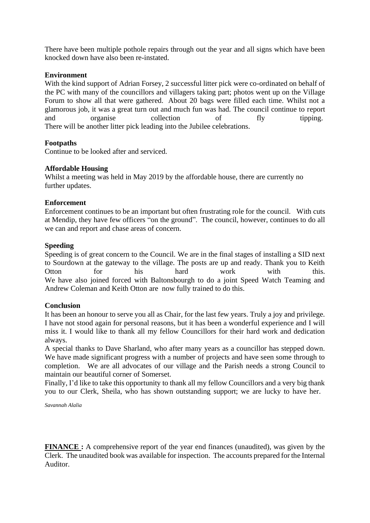There have been multiple pothole repairs through out the year and all signs which have been knocked down have also been re-instated.

#### **Environment**

With the kind support of Adrian Forsey, 2 successful litter pick were co-ordinated on behalf of the PC with many of the councillors and villagers taking part; photos went up on the Village Forum to show all that were gathered. About 20 bags were filled each time. Whilst not a glamorous job, it was a great turn out and much fun was had. The council continue to report and organise collection of fly tipping. There will be another litter pick leading into the Jubilee celebrations.

### **Footpaths**

Continue to be looked after and serviced.

### **Affordable Housing**

Whilst a meeting was held in May 2019 by the affordable house, there are currently no further updates.

### **Enforcement**

Enforcement continues to be an important but often frustrating role for the council. With cuts at Mendip, they have few officers "on the ground". The council, however, continues to do all we can and report and chase areas of concern.

### **Speeding**

Speeding is of great concern to the Council. We are in the final stages of installing a SID next to Sourdown at the gateway to the village. The posts are up and ready. Thank you to Keith Otton for his hard work with this. We have also joined forced with Baltonsbourgh to do a joint Speed Watch Teaming and Andrew Coleman and Keith Otton are now fully trained to do this.

#### **Conclusion**

It has been an honour to serve you all as Chair, for the last few years. Truly a joy and privilege. I have not stood again for personal reasons, but it has been a wonderful experience and I will miss it. I would like to thank all my fellow Councillors for their hard work and dedication always.

A special thanks to Dave Sharland, who after many years as a councillor has stepped down. We have made significant progress with a number of projects and have seen some through to completion. We are all advocates of our village and the Parish needs a strong Council to maintain our beautiful corner of Somerset.

Finally, I'd like to take this opportunity to thank all my fellow Councillors and a very big thank you to our Clerk, Sheila, who has shown outstanding support; we are lucky to have her.

*Savannah Alalia*

**FINANCE**: A comprehensive report of the year end finances (unaudited), was given by the Clerk. The unaudited book was available for inspection. The accounts prepared for the Internal Auditor.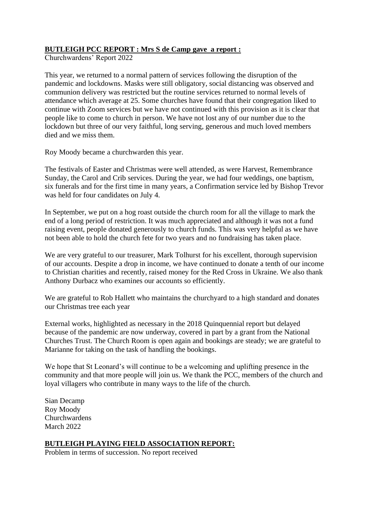## **BUTLEIGH PCC REPORT : Mrs S de Camp gave a report :**

Churchwardens' Report 2022

This year, we returned to a normal pattern of services following the disruption of the pandemic and lockdowns. Masks were still obligatory, social distancing was observed and communion delivery was restricted but the routine services returned to normal levels of attendance which average at 25. Some churches have found that their congregation liked to continue with Zoom services but we have not continued with this provision as it is clear that people like to come to church in person. We have not lost any of our number due to the lockdown but three of our very faithful, long serving, generous and much loved members died and we miss them.

Roy Moody became a churchwarden this year.

The festivals of Easter and Christmas were well attended, as were Harvest, Remembrance Sunday, the Carol and Crib services. During the year, we had four weddings, one baptism, six funerals and for the first time in many years, a Confirmation service led by Bishop Trevor was held for four candidates on July 4.

In September, we put on a hog roast outside the church room for all the village to mark the end of a long period of restriction. It was much appreciated and although it was not a fund raising event, people donated generously to church funds. This was very helpful as we have not been able to hold the church fete for two years and no fundraising has taken place.

We are very grateful to our treasurer, Mark Tolhurst for his excellent, thorough supervision of our accounts. Despite a drop in income, we have continued to donate a tenth of our income to Christian charities and recently, raised money for the Red Cross in Ukraine. We also thank Anthony Durbacz who examines our accounts so efficiently.

We are grateful to Rob Hallett who maintains the churchyard to a high standard and donates our Christmas tree each year

External works, highlighted as necessary in the 2018 Quinquennial report but delayed because of the pandemic are now underway, covered in part by a grant from the National Churches Trust. The Church Room is open again and bookings are steady; we are grateful to Marianne for taking on the task of handling the bookings.

We hope that St Leonard's will continue to be a welcoming and uplifting presence in the community and that more people will join us. We thank the PCC, members of the church and loyal villagers who contribute in many ways to the life of the church.

Sian Decamp Roy Moody **Churchwardens** March 2022

## **BUTLEIGH PLAYING FIELD ASSOCIATION REPORT:**

Problem in terms of succession. No report received